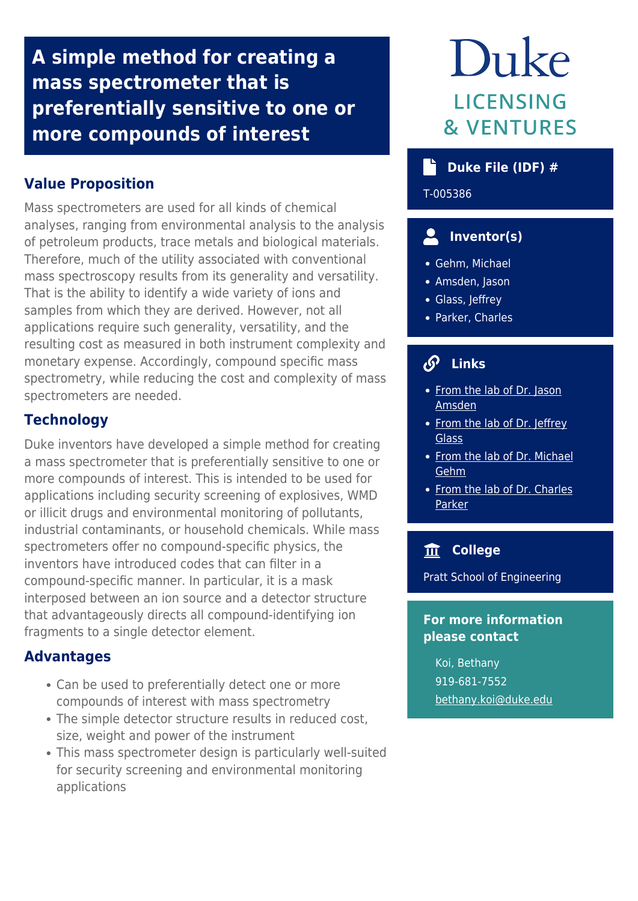**A simple method for creating a mass spectrometer that is preferentially sensitive to one or more compounds of interest**

# **Value Proposition**

Mass spectrometers are used for all kinds of chemical analyses, ranging from environmental analysis to the analysis of petroleum products, trace metals and biological materials. Therefore, much of the utility associated with conventional mass spectroscopy results from its generality and versatility. That is the ability to identify a wide variety of ions and samples from which they are derived. However, not all applications require such generality, versatility, and the resulting cost as measured in both instrument complexity and monetary expense. Accordingly, compound specific mass spectrometry, while reducing the cost and complexity of mass spectrometers are needed.

## **Technology**

Duke inventors have developed a simple method for creating a mass spectrometer that is preferentially sensitive to one or more compounds of interest. This is intended to be used for applications including security screening of explosives, WMD or illicit drugs and environmental monitoring of pollutants, industrial contaminants, or household chemicals. While mass spectrometers offer no compound-specific physics, the inventors have introduced codes that can filter in a compound-specific manner. In particular, it is a mask interposed between an ion source and a detector structure that advantageously directs all compound-identifying ion fragments to a single detector element.

## **Advantages**

- Can be used to preferentially detect one or more compounds of interest with mass spectrometry
- The simple detector structure results in reduced cost, size, weight and power of the instrument
- This mass spectrometer design is particularly well-suited for security screening and environmental monitoring applications

# Duke **LICENSING & VENTURES**

# **Duke File (IDF) #**

T-005386

# **Inventor(s)**

- Gehm, Michael
- Amsden, Jason
- Glass, Jeffrey
- Parker, Charles

# **Links**

- [From the lab of Dr. Jason](https://ece.duke.edu/faculty/jason-amsden) [Amsden](https://ece.duke.edu/faculty/jason-amsden)
- [From the lab of Dr. Jeffrey](https://ece.duke.edu/faculty/jeffrey-glass) **[Glass](https://ece.duke.edu/faculty/jeffrey-glass)**
- [From the lab of Dr. Michael](https://ece.duke.edu/faculty/michael-gehm) [Gehm](https://ece.duke.edu/faculty/michael-gehm)
- [From the lab of Dr. Charles](https://jtglass-nano.pratt.duke.edu/members/charles-b-parker-phd) [Parker](https://jtglass-nano.pratt.duke.edu/members/charles-b-parker-phd)

## **College**

Pratt School of Engineering

### **For more information please contact**

Koi, Bethany 919-681-7552 [bethany.koi@duke.edu](mailto:bethany.koi@duke.edu)